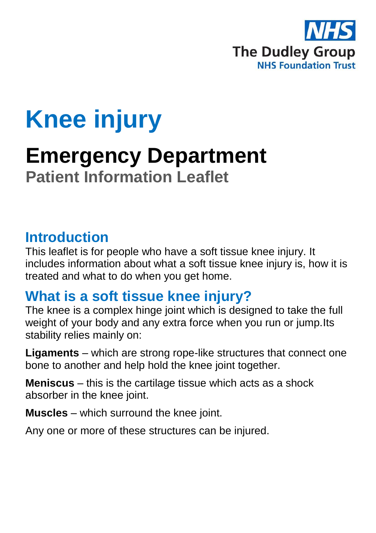

# **Knee injury**

## **Emergency Department Patient Information Leaflet**

#### **Introduction**

This leaflet is for people who have a soft tissue knee injury. It includes information about what a soft tissue knee injury is, how it is treated and what to do when you get home.

#### **What is a soft tissue knee injury?**

The knee is a complex hinge joint which is designed to take the full weight of your body and any extra force when you run or jump.Its stability relies mainly on:

**Ligaments** – which are strong rope-like structures that connect one bone to another and help hold the knee joint together.

**Meniscus** – this is the cartilage tissue which acts as a shock absorber in the knee joint.

**Muscles** – which surround the knee joint.

Any one or more of these structures can be injured.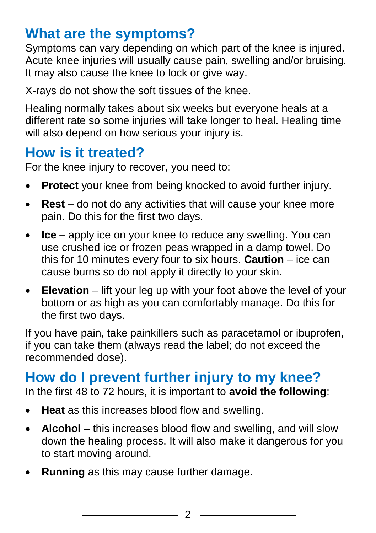### **What are the symptoms?**

Symptoms can vary depending on which part of the knee is injured. Acute knee injuries will usually cause pain, swelling and/or bruising. It may also cause the knee to lock or give way.

X-rays do not show the soft tissues of the knee.

Healing normally takes about six weeks but everyone heals at a different rate so some injuries will take longer to heal. Healing time will also depend on how serious your injury is.

#### **How is it treated?**

For the knee injury to recover, you need to:

- **Protect** your knee from being knocked to avoid further injury.
- **Rest** do not do any activities that will cause your knee more pain. Do this for the first two days.
- **Ice** apply ice on your knee to reduce any swelling. You can use crushed ice or frozen peas wrapped in a damp towel. Do this for 10 minutes every four to six hours. **Caution** – ice can cause burns so do not apply it directly to your skin.
- **Elevation** lift your leg up with your foot above the level of your bottom or as high as you can comfortably manage. Do this for the first two days.

If you have pain, take painkillers such as paracetamol or ibuprofen, if you can take them (always read the label; do not exceed the recommended dose).

#### **How do I prevent further injury to my knee?**

In the first 48 to 72 hours, it is important to **avoid the following**:

- **Heat** as this increases blood flow and swelling.
- **Alcohol**  this increases blood flow and swelling, and will slow down the healing process. It will also make it dangerous for you to start moving around.
- **Running** as this may cause further damage.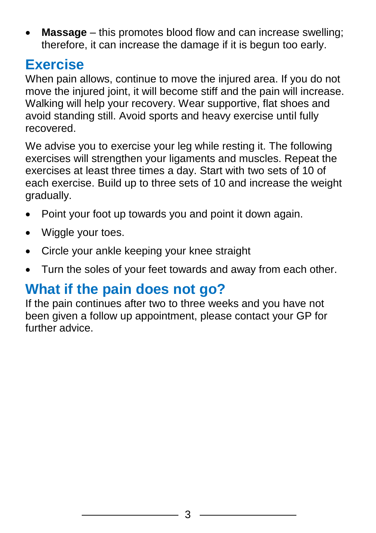**Massage** – this promotes blood flow and can increase swelling; therefore, it can increase the damage if it is begun too early.

#### **Exercise**

When pain allows, continue to move the injured area. If you do not move the injured joint, it will become stiff and the pain will increase. Walking will help your recovery. Wear supportive, flat shoes and avoid standing still. Avoid sports and heavy exercise until fully recovered.

We advise you to exercise your leg while resting it. The following exercises will strengthen your ligaments and muscles. Repeat the exercises at least three times a day. Start with two sets of 10 of each exercise. Build up to three sets of 10 and increase the weight gradually.

- Point your foot up towards you and point it down again.
- Wiggle your toes.
- Circle your ankle keeping your knee straight
- Turn the soles of your feet towards and away from each other.

### **What if the pain does not go?**

If the pain continues after two to three weeks and you have not been given a follow up appointment, please contact your GP for further advice.